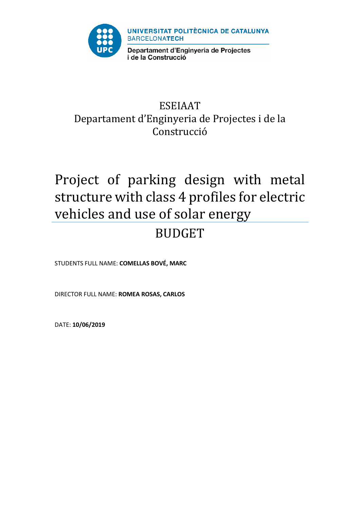

## ESEIAAT Departament d'Enginyeria de Projectes i de la Construcció

# Project of parking design with metal structure with class 4 profiles for electric vehicles and use of solar energy BUDGET

STUDENTS FULL NAME: **COMELLAS BOVÉ, MARC**

DIRECTOR FULL NAME: **ROMEA ROSAS, CARLOS**

DATE: **10/06/2019**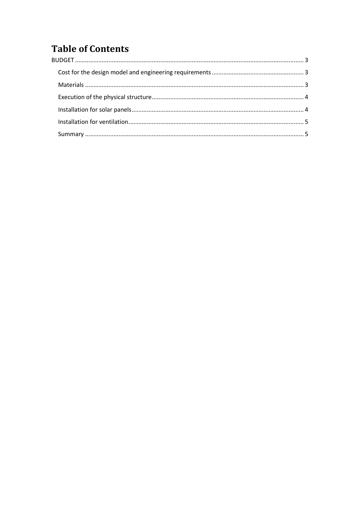## **Table of Contents**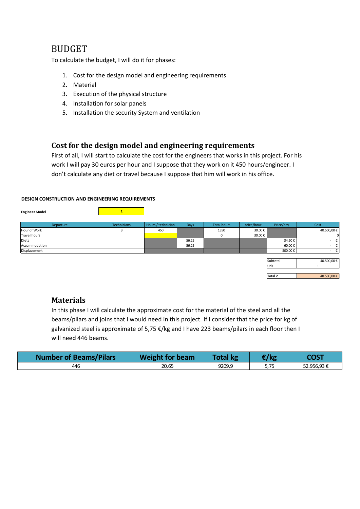## <span id="page-2-0"></span>BUDGET

To calculate the budget, I will do it for phases:

- 1. Cost for the design model and engineering requirements
- 2. Material
- 3. Execution of the physical structure
- 4. Installation for solar panels
- 5. Installation the security System and ventilation

### <span id="page-2-1"></span>**Cost for the design model and engineering requirements**

First of all, I will start to calculate the cost for the engineers that works in this project. For his work I will pay 30 euros per hour and I suppose that they work on it 450 hours/engineer. I don't calculate any diet or travel because I suppose that him will work in his office.

#### **DESIGN CONSTRUCTION AND ENGINEERING REQUIREMENTS**

**Engineer Model 1**

| <b>EURING</b> HOUGH | a sa kabupatèn Pangalangan Kabupatèn I |                    |       |                    |            |                |                               |
|---------------------|----------------------------------------|--------------------|-------|--------------------|------------|----------------|-------------------------------|
|                     |                                        |                    |       |                    |            |                |                               |
| Departure           | <b>Technicians</b>                     | Hours / technician | Days  | <b>Total hours</b> | price/hour | Price/day      | Cost                          |
| Hour of Work        |                                        | 450                |       | 1350               | 30,00€     |                | 40.500,00€                    |
| <b>Travel hours</b> |                                        |                    |       | $\Omega$           | 30,00€     |                | 0                             |
| Diets               |                                        |                    | 56,25 |                    |            | 34,50€         | €<br>$\overline{\phantom{a}}$ |
| Accommodation       |                                        |                    | 56,25 |                    |            | 60,00€         | $ \epsilon$                   |
| Displacement        |                                        |                    |       |                    |            | 500,00€        | $ \epsilon$                   |
|                     |                                        |                    |       |                    |            |                |                               |
|                     |                                        |                    |       |                    |            | Subtotal       | 40.500,00€                    |
|                     |                                        |                    |       |                    |            | Uds            |                               |
|                     |                                        |                    |       |                    |            |                |                               |
|                     |                                        |                    |       |                    |            | <b>Total 2</b> | 40.500,00€                    |
|                     |                                        |                    |       |                    |            |                |                               |

#### <span id="page-2-2"></span>**Materials**

In this phase I will calculate the approximate cost for the material of the steel and all the beams/pilars and joins that I would need in this project. If I consider that the price for kg of galvanized steel is approximate of 5,75 €/kg and I have 223 beams/pilars in each floor then I will need 446 beams.

| <b>Number of Beams/Pilars</b> | <b>Weight for beam</b> | <b>Total kg</b> | $\epsilon$ /kg | COST       |
|-------------------------------|------------------------|-----------------|----------------|------------|
| 446                           | 20,65                  | 9209,9          | 5,75           | 52.956.93€ |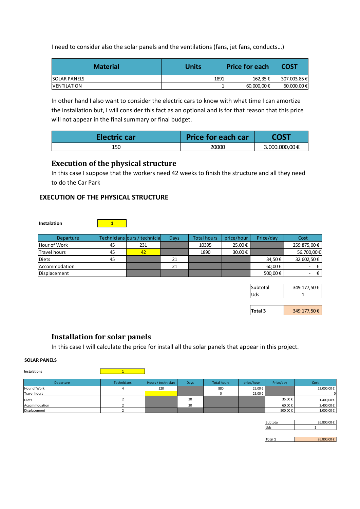I need to consider also the solar panels and the ventilations (fans, jet fans, conducts…)

| <b>Material</b>      | <b>Units</b> | <b>Price for each</b> | <b>COST</b>     |
|----------------------|--------------|-----------------------|-----------------|
| <b>ISOLAR PANELS</b> | 1891         | 162,35€               | 307.003,85 €    |
| <b>IVENTILATION</b>  |              | 60.000,00 €           | $60.000,00 \in$ |

In other hand I also want to consider the electric cars to know with what time I can amortize the installation but, I will consider this fact as an optional and is for that reason that this price will not appear in the final summary or final budget.

| <b>Electric car</b> | <b>Price for each car</b> | <b>2OST</b>    |
|---------------------|---------------------------|----------------|
| 150                 | 20000                     | 3.000.000,00 € |

## <span id="page-3-0"></span>**Execution of the physical structure**

In this case I suppose that the workers need 42 weeks to finish the structure and all they need to do the Car Park

#### **EXECUTION OF THE PHYSICAL STRUCTURE**

| Departure     |    | Technicians lours / technicia | Days | <b>Total hours</b> | price/hour | Price/day | Cost        |
|---------------|----|-------------------------------|------|--------------------|------------|-----------|-------------|
| Hour of Work  | 45 | 231                           |      | 10395              | 25,00€     |           | 259.875,00€ |
| lTravel hours | 45 | 42                            |      | 1890               | 30,00€     |           | 56.700,00€  |
| <b>Diets</b>  | 45 |                               | 21   |                    |            | 34,50€    | 32.602,50€  |
| Accommodation |    |                               | 21   |                    |            | 60,00€    | Ξ.          |
| Displacement  |    |                               |      |                    |            | 500,00€   | -           |

| ubtotal | 349.177,50€ |
|---------|-------------|
|         |             |

**Total 3** 349.177,50 €

## <span id="page-3-1"></span>**Installation for solar panels**

In this case I will calculate the price for install all the solar panels that appear in this project.

#### **SOLAR PANELS**

| Instalations        |             |                    |             |                    |            |           |            |
|---------------------|-------------|--------------------|-------------|--------------------|------------|-----------|------------|
| <b>Departure</b>    | Technicians | Hours / technician | <b>Days</b> | <b>Total hours</b> | price/hour | Price/day | Cost       |
| Hour of Work        |             | 220                |             | 880                | 25,00€     |           | 22.000,00€ |
| <b>Travel hours</b> |             |                    |             |                    | 25,00€     |           | OI         |
| Diets               |             |                    | 20          |                    |            | 35,00€    | 1.400,00€  |
| Accommodation       |             |                    | 20          |                    |            | 60,00€    | 2.400,00€  |
| Displacement        |             |                    |             |                    |            | 500,00€   | 1.000,00€  |

| Subtotal | 26.800.00€ |
|----------|------------|
|          |            |
|          |            |

Total 1 26.800,00 €